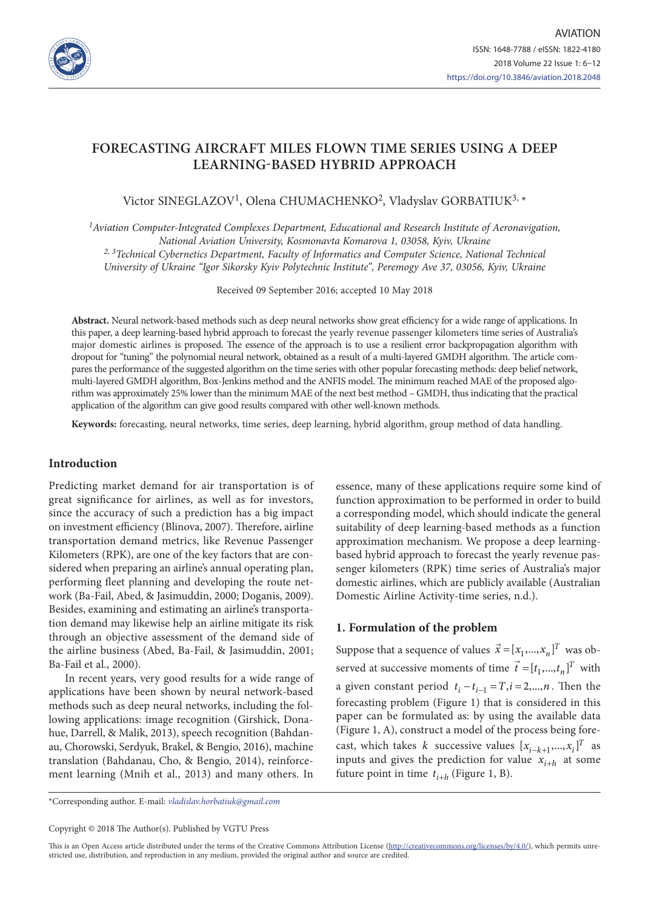

# **FORECASTING AIRCRAFT MILES FLOWN TIME SERIES USING A DEEP LEARNING-BASED HYBRID APPROACH**

Victor SINEGLAZOV<sup>1</sup>, Olena CHUMACHENKO<sup>2</sup>, Vladyslav GORBATIUK<sup>3, \*</sup>

*1Aviation Computer-Integrated Complexes Department, Educational and Research Institute of Aeronavigation, National Aviation University, Kosmonavta Komarova 1, 03058, Kyiv, Ukraine 2, 3Technical Cybernetics Department, Faculty of Informatics and Computer Science, National Technical University of Ukraine "Igor Sikorsky Kyiv Polytechnic Institute", Peremogy Ave 37, 03056, Kyiv, Ukraine*

Received 09 September 2016; accepted 10 May 2018

**Abstract.** Neural network-based methods such as deep neural networks show great efficiency for a wide range of applications. In this paper, a deep learning-based hybrid approach to forecast the yearly revenue passenger kilometers time series of Australia's major domestic airlines is proposed. The essence of the approach is to use a resilient error backpropagation algorithm with dropout for "tuning" the polynomial neural network, obtained as a result of a multi-layered GMDH algorithm. The article compares the performance of the suggested algorithm on the time series with other popular forecasting methods: deep belief network, multi-layered GMDH algorithm, Box-Jenkins method and the ANFIS model. The minimum reached MAE of the proposed algorithm was approximately 25% lower than the minimum MAE of the next best method – GMDH, thus indicating that the practical application of the algorithm can give good results compared with other well-known methods.

**Keywords:** forecasting, neural networks, time series, deep learning, hybrid algorithm, group method of data handling.

## **Introduction**

Predicting market demand for air transportation is of great significance for airlines, as well as for investors, since the accuracy of such a prediction has a big impact on investment efficiency (Blinova, 2007). Therefore, airline transportation demand metrics, like Revenue Passenger Kilometers (RPK), are one of the key factors that are considered when preparing an airline's annual operating plan, performing fleet planning and developing the route network (Ba-Fail, Abed, & Jasimuddin, 2000; Doganis, 2009). Besides, examining and estimating an airline's transportation demand may likewise help an airline mitigate its risk through an objective assessment of the demand side of the airline business (Abed, Ba-Fail, & Jasimuddin, 2001; Ba-Fail et al., 2000).

In recent years, very good results for a wide range of applications have been shown by neural network-based methods such as deep neural networks, including the following applications: image recognition (Girshick, Donahue, Darrell, & Malik, 2013), speech recognition (Bahdanau, Chorowski, Serdyuk, Brakel, & Bengio, 2016), machine translation (Bahdanau, Cho, & Bengio, 2014), reinforcement learning (Mnih et al., 2013) and many others. In

essence, many of these applications require some kind of function approximation to be performed in order to build a corresponding model, which should indicate the general suitability of deep learning-based methods as a function approximation mechanism. We propose a deep learningbased hybrid approach to forecast the yearly revenue passenger kilometers (RPK) time series of Australia's major domestic airlines, which are publicly available (Australian Domestic Airline Activity-time series, n.d.).

# **1. Formulation of the problem**

Suppose that a sequence of values  $\vec{x} = [x_1, ..., x_n]^T$  was observed at successive moments of time  $\vec{t} = [t_1, ..., t_n]^T$  with a given constant period  $t_i - t_{i-1} = T, i = 2,..., n$ . Then the forecasting problem (Figure 1) that is considered in this paper can be formulated as: by using the available data (Figure 1, A), construct a model of the process being forecast, which takes *k* successive values  $[x_{i-k+1},...,x_i]^T$  as inputs and gives the prediction for value  $x_{i+h}$  at some future point in time  $t_{i+h}$  (Figure 1, B).

\*Corresponding author. E-mail: *vladislav.horbatiuk@gmail.com*

Copyright © 2018 The Author(s). Published by VGTU Press

This is an Open Access article distributed under the terms of the Creative Commons Attribution License [\(http://creativecommons.org/licenses/by/4.0/](http://creativecommons.org/licenses/by/4.0/)), which permits unrestricted use, distribution, and reproduction in any medium, provided the original author and source are credited.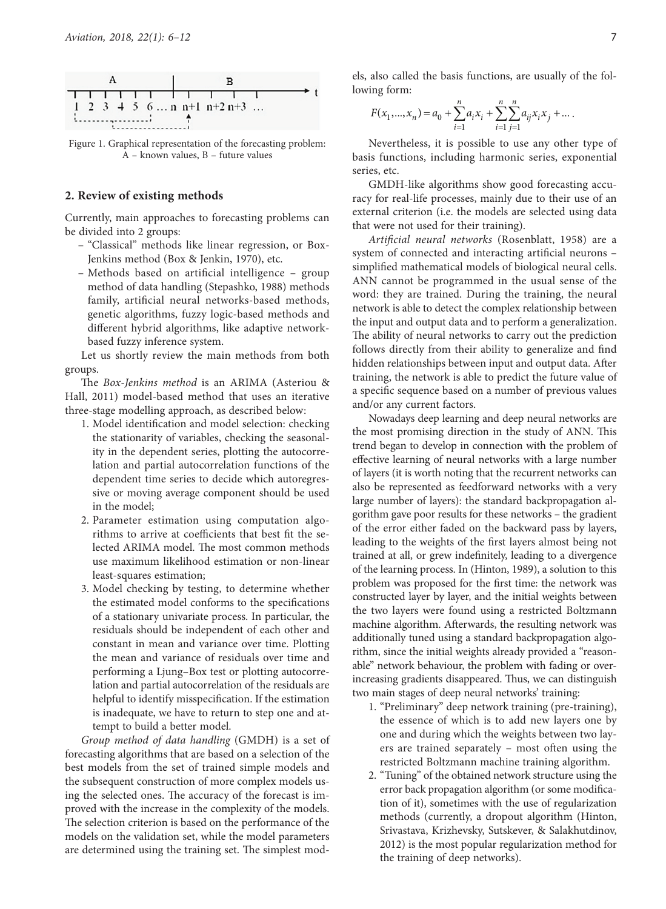

Figure 1. Graphical representation of the forecasting problem:  $A -$ known values,  $B -$  future values

### **2. Review of existing methods**

Currently, main approaches to forecasting problems can be divided into 2 groups:

- "Classical" methods like linear regression, or Box-Jenkins method (Box & Jenkin, 1970), etc.
- Methods based on artificial intelligence group method of data handling (Stepashko, 1988) methods family, artificial neural networks-based methods, genetic algorithms, fuzzy logic-based methods and different hybrid algorithms, like adaptive networkbased fuzzy inference system.

Let us shortly review the main methods from both groups.

The *Box-Jenkins method* is an ARIMA (Asteriou & Hall, 2011) model-based method that uses an iterative three-stage modelling approach, as described below:

- 1. Model identification and model selection: checking the stationarity of variables, checking the seasonality in the dependent series, plotting the autocorrelation and partial autocorrelation functions of the dependent time series to decide which autoregressive or moving average component should be used in the model;
- 2. Parameter estimation using computation algorithms to arrive at coefficients that best fit the selected ARIMA model. The most common methods use maximum likelihood estimation or non-linear least-squares estimation;
- 3. Model checking by testing, to determine whether the estimated model conforms to the specifications of a stationary univariate process. In particular, the residuals should be independent of each other and constant in mean and variance over time. Plotting the mean and variance of residuals over time and performing a Ljung–Box test or plotting autocorrelation and partial autocorrelation of the residuals are helpful to identify misspecification. If the estimation is inadequate, we have to return to step one and attempt to build a better model.

*Group method of data handling* (GMDH) is a set of forecasting algorithms that are based on a selection of the best models from the set of trained simple models and the subsequent construction of more complex models using the selected ones. The accuracy of the forecast is improved with the increase in the complexity of the models. The selection criterion is based on the performance of the models on the validation set, while the model parameters are determined using the training set. The simplest models, also called the basis functions, are usually of the following form:

$$
F(x_1,...,x_n) = a_0 + \sum_{i=1}^n a_i x_i + \sum_{i=1}^n \sum_{j=1}^n a_{ij} x_i x_j + \dots
$$

Nevertheless, it is possible to use any other type of basis functions, including harmonic series, exponential series, etc.

GMDH-like algorithms show good forecasting accuracy for real-life processes, mainly due to their use of an external criterion (i.e. the models are selected using data that were not used for their training).

*Artificial neural networks* (Rosenblatt, 1958) are a system of connected and interacting artificial neurons – simplified mathematical models of biological neural cells. ANN cannot be programmed in the usual sense of the word: they are trained. During the training, the neural network is able to detect the complex relationship between the input and output data and to perform a generalization. The ability of neural networks to carry out the prediction follows directly from their ability to generalize and find hidden relationships between input and output data. After training, the network is able to predict the future value of a specific sequence based on a number of previous values and/or any current factors.

Nowadays deep learning and deep neural networks are the most promising direction in the study of ANN. This trend began to develop in connection with the problem of effective learning of neural networks with a large number of layers (it is worth noting that the recurrent networks can also be represented as feedforward networks with a very large number of layers): the standard backpropagation algorithm gave poor results for these networks – the gradient of the error either faded on the backward pass by layers, leading to the weights of the first layers almost being not trained at all, or grew indefinitely, leading to a divergence of the learning process. In (Hinton, 1989), a solution to this problem was proposed for the first time: the network was constructed layer by layer, and the initial weights between the two layers were found using a restricted Boltzmann machine algorithm. Afterwards, the resulting network was additionally tuned using a standard backpropagation algorithm, since the initial weights already provided a "reasonable" network behaviour, the problem with fading or overincreasing gradients disappeared. Thus, we can distinguish two main stages of deep neural networks' training:

- 1. "Preliminary" deep network training (pre-training), the essence of which is to add new layers one by one and during which the weights between two layers are trained separately – most often using the restricted Boltzmann machine training algorithm.
- 2. "Tuning" of the obtained network structure using the error back propagation algorithm (or some modification of it), sometimes with the use of regularization methods (currently, a dropout algorithm (Hinton, Srivastava, Krizhevsky, Sutskever, & Salakhutdinov, 2012) is the most popular regularization method for the training of deep networks).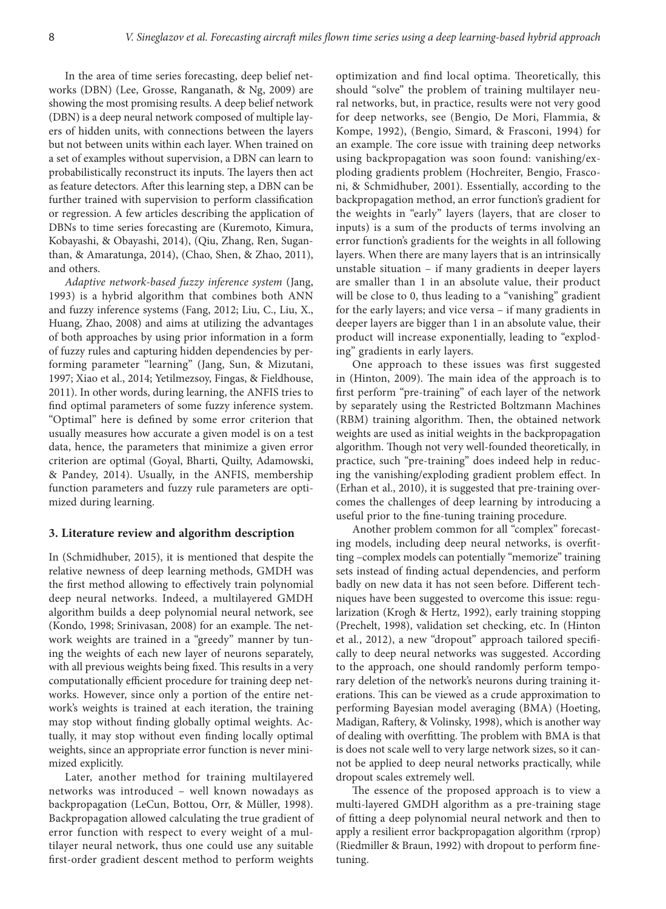In the area of time series forecasting, deep belief networks (DBN) (Lee, Grosse, Ranganath, & Ng, 2009) are showing the most promising results. A deep belief network (DBN) is a deep neural network composed of multiple layers of hidden units, with connections between the layers but not between units within each layer. When trained on a set of examples without supervision, a DBN can learn to probabilistically reconstruct its inputs. The layers then act as feature detectors. After this learning step, a DBN can be further trained with supervision to perform classification or regression. A few articles describing the application of DBNs to time series forecasting are (Kuremoto, Kimura, Kobayashi, & Obayashi, 2014), (Qiu, Zhang, Ren, Suganthan, & Amaratunga, 2014), (Chao, Shen, & Zhao, 2011), and others.

*Adaptive network-based fuzzy inference system* (Jang, 1993) is a hybrid algorithm that combines both ANN and fuzzy inference systems (Fang, 2012; Liu, C., Liu, X., Huang, Zhao, 2008) and aims at utilizing the advantages of both approaches by using prior information in a form of fuzzy rules and capturing hidden dependencies by performing parameter "learning" (Jang, Sun, & Mizutani, 1997; Xiao et al., 2014; Yetilmezsoy, Fingas, & Fieldhouse, 2011). In other words, during learning, the ANFIS tries to find optimal parameters of some fuzzy inference system. "Optimal" here is defined by some error criterion that usually measures how accurate a given model is on a test data, hence, the parameters that minimize a given error criterion are optimal (Goyal, Bharti, Quilty, Adamowski, & Pandey, 2014). Usually, in the ANFIS, membership function parameters and fuzzy rule parameters are optimized during learning.

## **3. Literature review and algorithm description**

In (Schmidhuber, 2015), it is mentioned that despite the relative newness of deep learning methods, GMDH was the first method allowing to effectively train polynomial deep neural networks. Indeed, a multilayered GMDH algorithm builds a deep polynomial neural network, see (Kondo, 1998; Srinivasan, 2008) for an example. The network weights are trained in a "greedy" manner by tuning the weights of each new layer of neurons separately, with all previous weights being fixed. This results in a very computationally efficient procedure for training deep networks. However, since only a portion of the entire network's weights is trained at each iteration, the training may stop without finding globally optimal weights. Actually, it may stop without even finding locally optimal weights, since an appropriate error function is never minimized explicitly.

Later, another method for training multilayered networks was introduced – well known nowadays as backpropagation (LeCun, Bottou, Orr, & Müller, 1998). Backpropagation allowed calculating the true gradient of error function with respect to every weight of a multilayer neural network, thus one could use any suitable first-order gradient descent method to perform weights

optimization and find local optima. Theoretically, this should "solve" the problem of training multilayer neural networks, but, in practice, results were not very good for deep networks, see (Bengio, De Mori, Flammia, & Kompe, 1992), (Bengio, Simard, & Frasconi, 1994) for an example. The core issue with training deep networks using backpropagation was soon found: vanishing/exploding gradients problem (Hochreiter, Bengio, Frasconi, & Schmidhuber, 2001). Essentially, according to the backpropagation method, an error function's gradient for the weights in "early" layers (layers, that are closer to inputs) is a sum of the products of terms involving an error function's gradients for the weights in all following layers. When there are many layers that is an intrinsically unstable situation – if many gradients in deeper layers are smaller than 1 in an absolute value, their product will be close to 0, thus leading to a "vanishing" gradient for the early layers; and vice versa – if many gradients in deeper layers are bigger than 1 in an absolute value, their product will increase exponentially, leading to "exploding" gradients in early layers.

One approach to these issues was first suggested in (Hinton, 2009). The main idea of the approach is to first perform "pre-training" of each layer of the network by separately using the Restricted Boltzmann Machines (RBM) training algorithm. Then, the obtained network weights are used as initial weights in the backpropagation algorithm. Though not very well-founded theoretically, in practice, such "pre-training" does indeed help in reducing the vanishing/exploding gradient problem effect. In (Erhan et al., 2010), it is suggested that pre-training overcomes the challenges of deep learning by introducing a useful prior to the fine-tuning training procedure.

Another problem common for all "complex" forecasting models, including deep neural networks, is overfitting –complex models can potentially "memorize" training sets instead of finding actual dependencies, and perform badly on new data it has not seen before. Different techniques have been suggested to overcome this issue: regularization (Krogh & Hertz, 1992), early training stopping (Prechelt, 1998), validation set checking, etc. In (Hinton et al*.*, 2012), a new "dropout" approach tailored specifically to deep neural networks was suggested. According to the approach, one should randomly perform temporary deletion of the network's neurons during training iterations. This can be viewed as a crude approximation to performing Bayesian model averaging (BMA) (Hoeting, Madigan, Raftery, & Volinsky, 1998), which is another way of dealing with overfitting. The problem with BMA is that is does not scale well to very large network sizes, so it cannot be applied to deep neural networks practically, while dropout scales extremely well.

The essence of the proposed approach is to view a multi-layered GMDH algorithm as a pre-training stage of fitting a deep polynomial neural network and then to apply a resilient error backpropagation algorithm (rprop) (Riedmiller & Braun, 1992) with dropout to perform finetuning.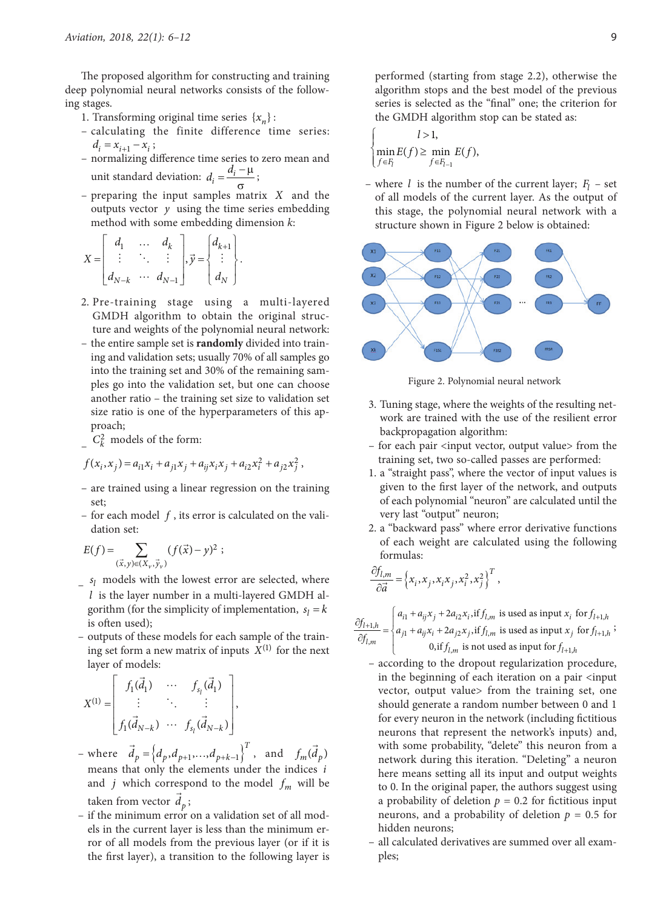The proposed algorithm for constructing and training deep polynomial neural networks consists of the following stages.

- 1. Transforming original time series  $\{x_n\}$ :
- calculating the finite difference time series:  $d_i = x_{i+1} - x_i;$
- normalizing difference time series to zero mean and unit standard deviation:  $d_i = \frac{d_i - \mu}{\sigma}$ ;
- preparing the input samples matrix *X* and the outputs vector  $y$  using the time series embedding method with some embedding dimension *k*:

$$
X = \begin{bmatrix} d_1 & \dots & d_k \\ \vdots & \ddots & \vdots \\ d_{N-k} & \dots & d_{N-1} \end{bmatrix}, \vec{y} = \begin{Bmatrix} d_{k+1} \\ \vdots \\ d_N \end{Bmatrix}.
$$

- 2. Pre-training stage using a multi-layered GMDH algorithm to obtain the original structure and weights of the polynomial neural network:
- the entire sample set is **randomly** divided into training and validation sets; usually 70% of all samples go into the training set and 30% of the remaining samples go into the validation set, but one can choose another ratio – the training set size to validation set size ratio is one of the hyperparameters of this approach;
- $C_k^2$  models of the form:

$$
f(x_i, x_j) = a_{i1}x_i + a_{j1}x_j + a_{ij}x_ix_j + a_{i2}x_i^2 + a_{j2}x_j^2,
$$

- are trained using a linear regression on the training set;
- for each model *f* , its error is calculated on the validation set:

$$
E(f) = \sum_{(\vec{x}, y) \in (X_{\nu}, \vec{y}_{\nu})} (f(\vec{x}) - y)^2 ;
$$

- $s_l$  models with the lowest error are selected, where *l* is the layer number in a multi-layered GMDH algorithm (for the simplicity of implementation,  $s_l = k$ is often used);
- outputs of these models for each sample of the training set form a new matrix of inputs  $X^{(1)}$  for the next layer of models:

$$
X^{(1)} = \begin{bmatrix} f_1(\vec{d}_1) & \cdots & f_{s_i}(\vec{d}_1) \\ \vdots & \ddots & \vdots \\ f_1(\vec{d}_{N-k}) & \cdots & f_{s_i}(\vec{d}_{N-k}) \end{bmatrix},
$$

- $-\text{ where } \vec{d}_p = \left\{ d_p, d_{p+1}, ..., d_{p+k-1} \right\}^T, \text{ and } f_m(\vec{d}_p)$ means that only the elements under the indices *i* and *j* which correspond to the model  $f_m$  will be taken from vector  $\vec{d}_p$ ;
- if the minimum error on a validation set of all models in the current layer is less than the minimum error of all models from the previous layer (or if it is the first layer), a transition to the following layer is

performed (starting from stage 2.2), otherwise the algorithm stops and the best model of the previous series is selected as the "final" one; the criterion for the GMDH algorithm stop can be stated as:

$$
\begin{cases}\n l > 1, \\
 \min_{f \in F_l} E(f) \ge \min_{f \in F_{l-1}} E(f),\n\end{cases}
$$

– where *l* is the number of the current layer;  $F_l$  – set of all models of the current layer. As the output of this stage, the polynomial neural network with a structure shown in Figure 2 below is obtained:



Figure 2. Polynomial neural network

- 3. Tuning stage, where the weights of the resulting network are trained with the use of the resilient error backpropagation algorithm:
- for each pair <input vector, output value> from the training set, two so-called passes are performed:
- 1. a "straight pass", where the vector of input values is given to the first layer of the network, and outputs of each polynomial "neuron" are calculated until the very last "output" neuron;
- 2. a "backward pass" where error derivative functions of each weight are calculated using the following formulas:

$$
\frac{\partial f_{l,m}}{\partial \vec{a}} = \left\{ x_i, x_j, x_i x_j, x_i^2, x_j^2 \right\}^T,
$$

$$
\frac{\partial f_{l+1,h}}{\partial f_{l,m}} = \begin{cases} a_{i1} + a_{ij}x_j + 2a_{i2}x_i \text{, if } f_{l,m} \text{ is used as input } x_i \text{ for } f_{l+1,h} \\ a_{j1} + a_{ij}x_i + 2a_{j2}x_j \text{, if } f_{l,m} \text{ is used as input } x_j \text{ for } f_{l+1,h} \\ 0, \text{if } f_{l,m} \text{ is not used as input for } f_{l+1,h} \end{cases}
$$

- according to the dropout regularization procedure, in the beginning of each iteration on a pair <input vector, output value> from the training set, one should generate a random number between 0 and 1 for every neuron in the network (including fictitious neurons that represent the network's inputs) and, with some probability, "delete" this neuron from a network during this iteration. "Deleting" a neuron here means setting all its input and output weights to 0. In the original paper, the authors suggest using a probability of deletion  $p = 0.2$  for fictitious input neurons, and a probability of deletion  $p = 0.5$  for hidden neurons;
- all calculated derivatives are summed over all examples;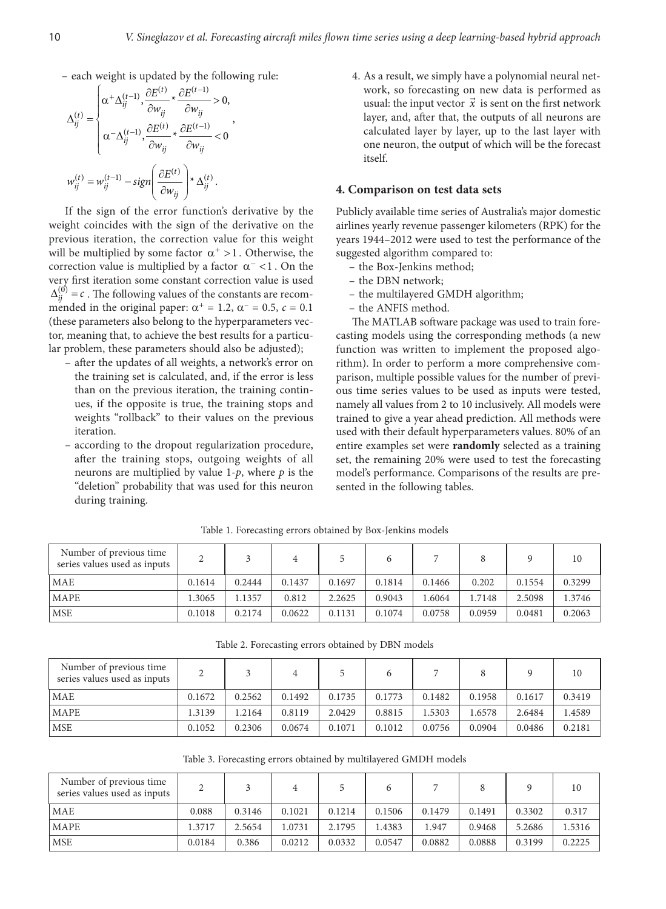– each weight is updated by the following rule:

$$
\Delta_{ij}^{(t)} = \begin{cases}\n\alpha^+ \Delta_{ij}^{(t-1)}, \frac{\partial E^{(t)}}{\partial w_{ij}} * \frac{\partial E^{(t-1)}}{\partial w_{ij}} > 0, \\
\alpha^- \Delta_{ij}^{(t-1)}, \frac{\partial E^{(t)}}{\partial w_{ij}} * \frac{\partial E^{(t-1)}}{\partial w_{ij}} < 0\n\end{cases},
$$
\n
$$
w_{ij}^{(t)} = w_{ij}^{(t-1)} - sign\left(\frac{\partial E^{(t)}}{\partial w_{ij}}\right) * \Delta_{ij}^{(t)}.
$$

If the sign of the error function's derivative by the weight coincides with the sign of the derivative on the previous iteration, the correction value for this weight will be multiplied by some factor  $\alpha^+ > 1$ . Otherwise, the correction value is multiplied by a factor  $\alpha^-$  < 1. On the very first iteration some constant correction value is used  $\Delta_{ii}^{(0)} = c$ . The following values of the constants are recommended in the original paper:  $\alpha^+ = 1.2$ ,  $\alpha^- = 0.5$ ,  $c = 0.1$ (these parameters also belong to the hyperparameters vector, meaning that, to achieve the best results for a particular problem, these parameters should also be adjusted);

- after the updates of all weights, a network's error on the training set is calculated, and, if the error is less than on the previous iteration, the training continues, if the opposite is true, the training stops and weights "rollback" to their values on the previous iteration.
- according to the dropout regularization procedure, after the training stops, outgoing weights of all neurons are multiplied by value 1-*p*, where *p* is the "deletion" probability that was used for this neuron during training.

4. As a result, we simply have a polynomial neural network, so forecasting on new data is performed as work, so forecasting on hew data is performed as<br>usual: the input vector  $\vec{x}$  is sent on the first network layer, and, after that, the outputs of all neurons are calculated layer by layer, up to the last layer with one neuron, the output of which will be the forecast itself.

#### **4. Comparison on test data sets**

Publicly available time series of Australia's major domestic airlines yearly revenue passenger kilometers (RPK) for the years 1944–2012 were used to test the performance of the suggested algorithm compared to:

- the Box-Jenkins method;
- the DBN network;
- the multilayered GMDH algorithm;
- the ANFIS method.

The MATLAB software package was used to train forecasting models using the corresponding methods (a new function was written to implement the proposed algorithm). In order to perform a more comprehensive comparison, multiple possible values for the number of previous time series values to be used as inputs were tested, namely all values from 2 to 10 inclusively. All models were trained to give a year ahead prediction. All methods were used with their default hyperparameters values. 80% of an entire examples set were **randomly** selected as a training set, the remaining 20% were used to test the forecasting model's performance. Comparisons of the results are presented in the following tables.

| Number of previous time<br>series values used as inputs |        |        | 4      |        |        |        |        |        | 10     |
|---------------------------------------------------------|--------|--------|--------|--------|--------|--------|--------|--------|--------|
| <b>MAE</b>                                              | 0.1614 | 0.2444 | 0.1437 | 0.1697 | 0.1814 | 0.1466 | 0.202  | 0.1554 | 0.3299 |
| <b>MAPE</b>                                             | 1.3065 | 1.1357 | 0.812  | 2.2625 | 0.9043 | 1.6064 | l.7148 | 2.5098 | 1.3746 |
| <b>MSE</b>                                              | 0.1018 | 0.2174 | 0.0622 | 0.1131 | 0.1074 | 0.0758 | 0.0959 | 0.0481 | 0.2063 |

Table 1. Forecasting errors obtained by Box-Jenkins models

Table 2. Forecasting errors obtained by DBN models

| Number of previous time<br>series values used as inputs |        |        |        |        |        |        |        |        | 10     |
|---------------------------------------------------------|--------|--------|--------|--------|--------|--------|--------|--------|--------|
| <b>MAE</b>                                              | 0.1672 | 0.2562 | 0.1492 | 0.1735 | 0.1773 | 0.1482 | 0.1958 | 0.1617 | 0.3419 |
| <b>MAPE</b>                                             | 1.3139 | 1.2164 | 0.8119 | 2.0429 | 0.8815 | 1.5303 | 1.6578 | 2.6484 | 1.4589 |
| <b>MSE</b>                                              | 0.1052 | 0.2306 | 0.0674 | 0.1071 | 0.1012 | 0.0756 | 0.0904 | 0.0486 | 0.2181 |

Table 3. Forecasting errors obtained by multilayered GMDH models

| Number of previous time<br>series values used as inputs |        |        |        |        |        |        |        |        | 10     |
|---------------------------------------------------------|--------|--------|--------|--------|--------|--------|--------|--------|--------|
| MAE                                                     | 0.088  | 0.3146 | 0.1021 | 0.1214 | 0.1506 | 0.1479 | 0.1491 | 0.3302 | 0.317  |
| <b>MAPE</b>                                             | 1.3717 | 2.5654 | 1.0731 | 2.1795 | 1.4383 | 1.947  | 0.9468 | 5.2686 | 1.5316 |
| <b>MSE</b>                                              | 0.0184 | 0.386  | 0.0212 | 0.0332 | 0.0547 | 0.0882 | 0.0888 | 0.3199 | 0.2225 |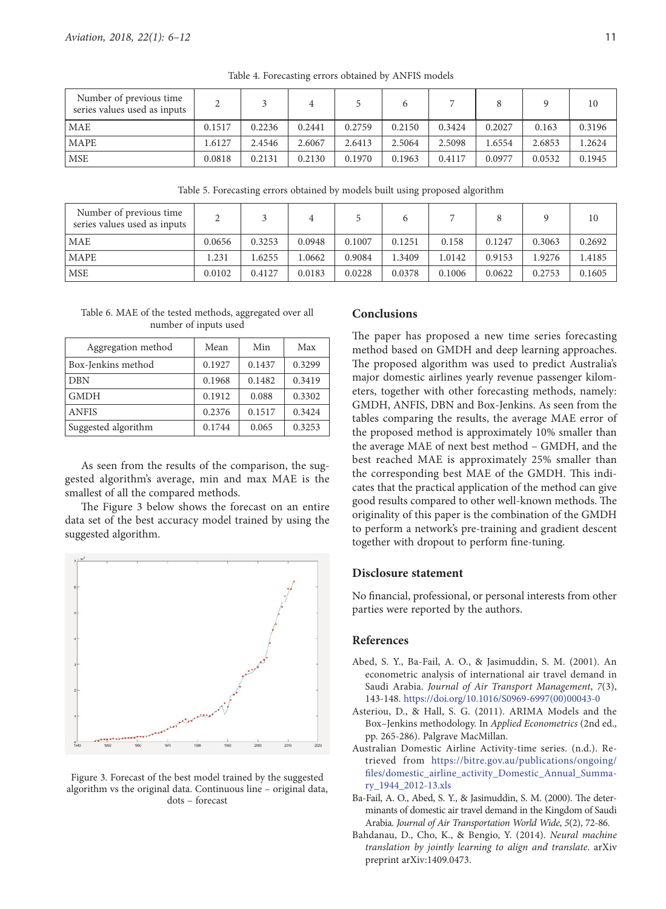| Number of previous time<br>series values used as inputs |        |        |        |        |        |        |        |        | 10     |
|---------------------------------------------------------|--------|--------|--------|--------|--------|--------|--------|--------|--------|
| <b>MAE</b>                                              | 0.1517 | 0.2236 | 0.2441 | 0.2759 | 0.2150 | 0.3424 | 0.2027 | 0.163  | 0.3196 |
| <b>MAPE</b>                                             | 1.6127 | 2.4546 | 2.6067 | 2.6413 | 2.5064 | 2.5098 | .6554  | 2.6853 | 1.2624 |
| <b>MSE</b>                                              | 0.0818 | 0.2131 | 0.2130 | 0.1970 | 0.1963 | 0.4117 | 0.0977 | 0.0532 | 0.1945 |

Table 4. Forecasting errors obtained by ANFIS models

Table 5. Forecasting errors obtained by models built using proposed algorithm

| Number of previous time<br>series values used as inputs |        |        |        |        |        |        |        |        | 10     |
|---------------------------------------------------------|--------|--------|--------|--------|--------|--------|--------|--------|--------|
| <b>MAE</b>                                              | 0.0656 | 0.3253 | 0.0948 | 0.1007 | 0.1251 | 0.158  | 0.1247 | 0.3063 | 0.2692 |
| <b>MAPE</b>                                             | 1.231  | .6255  | 1.0662 | 0.9084 | 1.3409 | 1.0142 | 0.9153 | .9276  | .4185  |
| <b>MSE</b>                                              | 0.0102 | 0.4127 | 0.0183 | 0.0228 | 0.0378 | 0.1006 | 0.0622 | 0.2753 | 0.1605 |

Table 6. MAE of the tested methods, aggregated over all number of inputs used

| Aggregation method  | Mean   | Min    | Max    |
|---------------------|--------|--------|--------|
| Box-Jenkins method  | 0.1927 | 0.1437 | 0.3299 |
| <b>DBN</b>          | 0.1968 | 0.1482 | 0.3419 |
| <b>GMDH</b>         | 0.1912 | 0.088  | 0.3302 |
| <b>ANFIS</b>        | 0.2376 | 0.1517 | 0.3424 |
| Suggested algorithm | 0.1744 | 0.065  | 0.3253 |

As seen from the results of the comparison, the suggested algorithm's average, min and max MAE is the smallest of all the compared methods.

The Figure 3 below shows the forecast on an entire data set of the best accuracy model trained by using the suggested algorithm.



Figure 3. Forecast of the best model trained by the suggested algorithm vs the original data. Continuous line – original data, dots – forecast

#### **Conclusions**

The paper has proposed a new time series forecasting method based on GMDH and deep learning approaches. The proposed algorithm was used to predict Australia's major domestic airlines yearly revenue passenger kilometers, together with other forecasting methods, namely: GMDH, ANFIS, DBN and Box-Jenkins. As seen from the tables comparing the results, the average MAE error of the proposed method is approximately 10% smaller than the average MAE of next best method – GMDH, and the best reached MAE is approximately 25% smaller than the corresponding best MAE of the GMDH. This indicates that the practical application of the method can give good results compared to other well-known methods. The originality of this paper is the combination of the GMDH to perform a network's pre-training and gradient descent together with dropout to perform fine-tuning.

## **Disclosure statement**

No financial, professional, or personal interests from other parties were reported by the authors.

# **References**

- Abed, S. Y., Ba-Fail, A. O., & Jasimuddin, S. M. (2001). An econometric analysis of international air travel demand in Saudi Arabia. *Journal of Air Transport Management*, *7*(3), 143-148. [https://doi.org/10.1016/S0969-6997\(00\)00043-0](https://doi.org/10.1016/S0969-6997(00)00043-0)
- Asteriou, D., & Hall, S. G. (2011). ARIMA Models and the Box–Jenkins methodology. In *Applied Econometrics* (2nd ed., pp. 265-286). Palgrave MacMillan.
- Australian Domestic Airline Activity-time series. (n.d.). Retrieved from [https://bitre.gov.au/publications/ongoing/](https://bitre.gov.au/publications/ongoing/files/domestic_airline_activity_Domestic_Annual_Summary_1944_2012-13.xls) [files/domestic\\_airline\\_activity\\_Domestic\\_Annual\\_Summa](https://bitre.gov.au/publications/ongoing/files/domestic_airline_activity_Domestic_Annual_Summary_1944_2012-13.xls)[ry\\_1944\\_2012-13.xls](https://bitre.gov.au/publications/ongoing/files/domestic_airline_activity_Domestic_Annual_Summary_1944_2012-13.xls)
- Ba-Fail, A. O., Abed, S. Y., & Jasimuddin, S. M. (2000). The determinants of domestic air travel demand in the Kingdom of Saudi Arabia. *Journal of Air Transportation World Wide*, *5*(2), 72-86.
- Bahdanau, D., Cho, K., & Bengio, Y. (2014). *Neural machine translation by jointly learning to align and translate*. arXiv preprint arXiv:1409.0473.